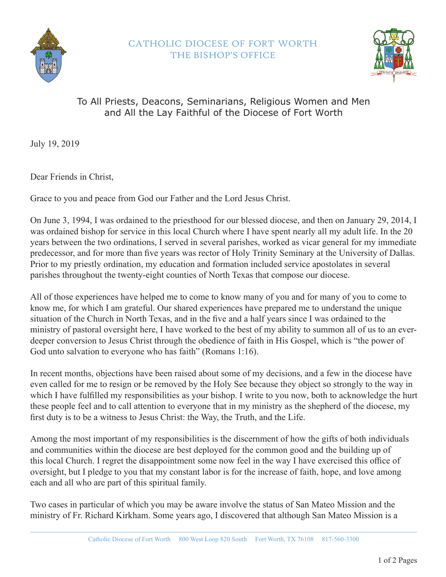



## To All Priests, Deacons, Seminarians, Religious Women and Men and All the Lay Faithful of the Diocese of Fort Worth

July 19, 2019

Dear Friends in Christ,

Grace to you and peace from God our Father and the Lord Jesus Christ.

On June 3, 1994, I was ordained to the priesthood for our blessed diocese, and then on January 29, 2014, I was ordained bishop for service in this local Church where I have spent nearly all my adult life. In the 20 years between the two ordinations, I served in several parishes, worked as vicar general for my immediate predecessor, and for more than five years was rector of Holy Trinity Seminary at the University of Dallas. Prior to my priestly ordination, my education and formation included service apostolates in several parishes throughout the twenty-eight counties of North Texas that compose our diocese.

All of those experiences have helped me to come to know many of you and for many of you to come to know me, for which I am grateful. Our shared experiences have prepared me to understand the unique situation of the Church in North Texas, and in the five and a half years since I was ordained to the ministry of pastoral oversight here, I have worked to the best of my ability to summon all of us to an everdeeper conversion to Jesus Christ through the obedience of faith in His Gospel, which is "the power of God unto salvation to everyone who has faith" (Romans 1:16).

In recent months, objections have been raised about some of my decisions, and a few in the diocese have even called for me to resign or be removed by the Holy See because they object so strongly to the way in which I have fulfilled my responsibilities as your bishop. I write to you now, both to acknowledge the hurt these people feel and to call attention to everyone that in my ministry as the shepherd of the diocese, my first duty is to be a witness to Jesus Christ: the Way, the Truth, and the Life.

Among the most important of my responsibilities is the discernment of how the gifts of both individuals and communities within the diocese are best deployed for the common good and the building up of this local Church. I regret the disappointment some now feel in the way I have exercised this office of oversight, but I pledge to you that my constant labor is for the increase of faith, hope, and love among each and all who are part of this spiritual family.

Two cases in particular of which you may be aware involve the status of San Mateo Mission and the ministry of Fr. Richard Kirkham. Some years ago, I discovered that although San Mateo Mission is a